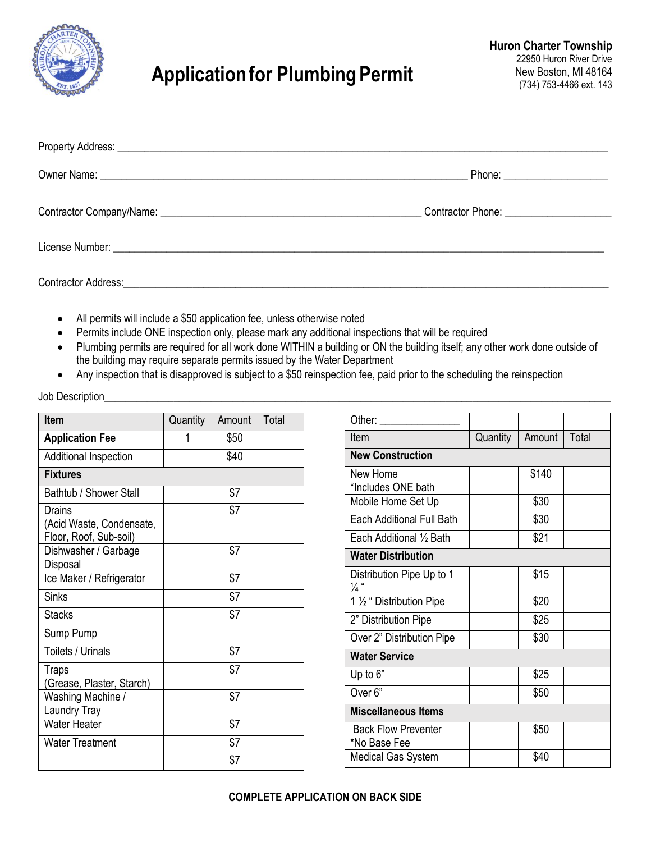

## **Application for Plumbing Permit**

| Phone: ________________________ |
|---------------------------------|
|                                 |
|                                 |
|                                 |

- All permits will include a \$50 application fee, unless otherwise noted
- Permits include ONE inspection only, please mark any additional inspections that will be required
- Plumbing permits are required for all work done WITHIN a building or ON the building itself; any other work done outside of the building may require separate permits issued by the Water Department
- Any inspection that is disapproved is subject to a \$50 reinspection fee, paid prior to the scheduling the reinspection

| <b>Item</b>                                                  | Quantity | Amount | Total |
|--------------------------------------------------------------|----------|--------|-------|
| <b>Application Fee</b>                                       | 1        | \$50   |       |
| Additional Inspection                                        |          | \$40   |       |
| <b>Fixtures</b>                                              |          |        |       |
| Bathtub / Shower Stall                                       |          | \$7    |       |
| Drains<br>(Acid Waste, Condensate,<br>Floor, Roof, Sub-soil) |          | \$7    |       |
| Dishwasher / Garbage<br>Disposal                             |          | \$7    |       |
| Ice Maker / Refrigerator                                     |          | \$7    |       |
| <b>Sinks</b>                                                 |          | \$7    |       |
| Stacks                                                       |          | \$7    |       |
| Sump Pump                                                    |          |        |       |
| Toilets / Urinals                                            |          | \$7    |       |
| <b>Traps</b><br>(Grease, Plaster, Starch)                    |          | \$7    |       |
| Washing Machine /<br>Laundry Tray                            |          | \$7    |       |
| <b>Water Heater</b>                                          |          | \$7    |       |
| <b>Water Treatment</b>                                       |          | \$7    |       |
|                                                              |          | \$7    |       |

| Other:                                 |          |        |       |  |  |
|----------------------------------------|----------|--------|-------|--|--|
| Item                                   | Quantity | Amount | Total |  |  |
| <b>New Construction</b>                |          |        |       |  |  |
| New Home                               |          | \$140  |       |  |  |
| *Includes ONE bath                     |          |        |       |  |  |
| Mobile Home Set Up                     |          | \$30   |       |  |  |
| Each Additional Full Bath              |          | \$30   |       |  |  |
| Each Additional 1/2 Bath               |          | \$21   |       |  |  |
| <b>Water Distribution</b>              |          |        |       |  |  |
| Distribution Pipe Up to 1              |          | \$15   |       |  |  |
| ¼"                                     |          |        |       |  |  |
| $\overline{11}/_2$ " Distribution Pipe |          | \$20   |       |  |  |
| 2" Distribution Pipe                   |          | \$25   |       |  |  |
| Over 2" Distribution Pipe              |          | \$30   |       |  |  |
| <b>Water Service</b>                   |          |        |       |  |  |
| Up to 6"                               |          | \$25   |       |  |  |
| Over <sub>6</sub> "                    |          | \$50   |       |  |  |
| <b>Miscellaneous Items</b>             |          |        |       |  |  |
| <b>Back Flow Preventer</b>             |          | \$50   |       |  |  |
| *No Base Fee                           |          |        |       |  |  |
| <b>Medical Gas System</b>              |          | \$40   |       |  |  |